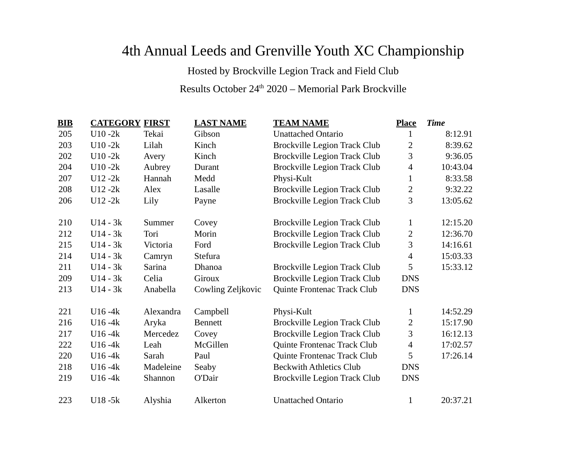## 4th Annual Leeds and Grenville Youth XC Championship

Hosted by Brockville Legion Track and Field Club

## Results October  $24^{\text{th}}$  2020 – Memorial Park Brockville

| BIB | <b>CATEGORY FIRST</b> |           | <b>LAST NAME</b>  | <b>TEAM NAME</b>                    | <b>Place</b>   | <b>Time</b> |
|-----|-----------------------|-----------|-------------------|-------------------------------------|----------------|-------------|
| 205 | $U10 - 2k$            | Tekai     | Gibson            | <b>Unattached Ontario</b>           | 1              | 8:12.91     |
| 203 | $U10 - 2k$            | Lilah     | Kinch             | <b>Brockville Legion Track Club</b> | 2              | 8:39.62     |
| 202 | $U10 - 2k$            | Avery     | Kinch             | Brockville Legion Track Club        | 3              | 9:36.05     |
| 204 | $U10 - 2k$            | Aubrey    | Durant            | <b>Brockville Legion Track Club</b> | 4              | 10:43.04    |
| 207 | $U12 - 2k$            | Hannah    | Medd              | Physi-Kult                          | $\mathbf{1}$   | 8:33.58     |
| 208 | $U12 - 2k$            | Alex      | Lasalle           | <b>Brockville Legion Track Club</b> | $\overline{2}$ | 9:32.22     |
| 206 | $U12 - 2k$            | Lily      | Payne             | <b>Brockville Legion Track Club</b> | 3              | 13:05.62    |
|     |                       |           |                   |                                     |                |             |
| 210 | $U14 - 3k$            | Summer    | Covey             | <b>Brockville Legion Track Club</b> | $\mathbf{1}$   | 12:15.20    |
| 212 | $U14 - 3k$            | Tori      | Morin             | <b>Brockville Legion Track Club</b> | 2              | 12:36.70    |
| 215 | $U14 - 3k$            | Victoria  | Ford              | <b>Brockville Legion Track Club</b> | 3              | 14:16.61    |
| 214 | $U14 - 3k$            | Camryn    | Stefura           |                                     | $\overline{4}$ | 15:03.33    |
| 211 | $U14 - 3k$            | Sarina    | Dhanoa            | <b>Brockville Legion Track Club</b> | 5              | 15:33.12    |
| 209 | $U14 - 3k$            | Celia     | Giroux            | <b>Brockville Legion Track Club</b> | <b>DNS</b>     |             |
| 213 | $U14 - 3k$            | Anabella  | Cowling Zeljkovic | Quinte Frontenac Track Club         | <b>DNS</b>     |             |
|     |                       |           |                   |                                     |                |             |
| 221 | $U16 - 4k$            | Alexandra | Campbell          | Physi-Kult                          | $\mathbf{1}$   | 14:52.29    |
| 216 | $U16 - 4k$            | Aryka     | <b>Bennett</b>    | <b>Brockville Legion Track Club</b> | $\overline{2}$ | 15:17.90    |
| 217 | $U16 - 4k$            | Mercedez  | Covey             | <b>Brockville Legion Track Club</b> | 3              | 16:12.13    |
| 222 | $U16 - 4k$            | Leah      | McGillen          | Quinte Frontenac Track Club         | $\overline{4}$ | 17:02.57    |
| 220 | $U16 - 4k$            | Sarah     | Paul              | Quinte Frontenac Track Club         | 5              | 17:26.14    |
| 218 | $U16 - 4k$            | Madeleine | Seaby             | <b>Beckwith Athletics Club</b>      | <b>DNS</b>     |             |
| 219 | $U16 - 4k$            | Shannon   | O'Dair            | <b>Brockville Legion Track Club</b> | <b>DNS</b>     |             |
|     |                       |           |                   |                                     |                |             |
| 223 | $U18 - 5k$            | Alyshia   | Alkerton          | <b>Unattached Ontario</b>           | $\mathbf{1}$   | 20:37.21    |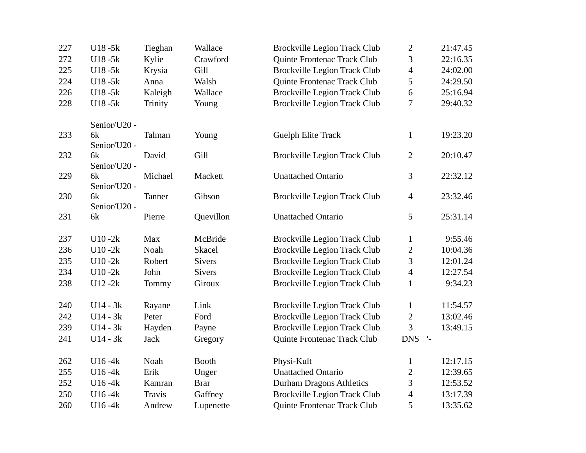| 227 | $U18 - 5k$         | Tieghan       | Wallace       | <b>Brockville Legion Track Club</b> | $\overline{2}$                  | 21:47.45 |
|-----|--------------------|---------------|---------------|-------------------------------------|---------------------------------|----------|
| 272 | U18-5k             | Kylie         | Crawford      | Quinte Frontenac Track Club         | 3                               | 22:16.35 |
| 225 | U18-5k             | Krysia        | Gill          | <b>Brockville Legion Track Club</b> | 4                               | 24:02.00 |
| 224 | U18-5k             | Anna          | Walsh         | Quinte Frontenac Track Club         | 5                               | 24:29.50 |
| 226 | U18-5k             | Kaleigh       | Wallace       | <b>Brockville Legion Track Club</b> | 6                               | 25:16.94 |
| 228 | U18-5k             | Trinity       | Young         | <b>Brockville Legion Track Club</b> | 7                               | 29:40.32 |
|     | Senior/U20 -       |               |               |                                     |                                 |          |
| 233 | 6k                 | Talman        | Young         | <b>Guelph Elite Track</b>           | $\mathbf{1}$                    | 19:23.20 |
| 232 | Senior/U20 -<br>6k | David         | Gill          | <b>Brockville Legion Track Club</b> | 2                               | 20:10.47 |
|     | Senior/U20 -       |               |               |                                     |                                 |          |
| 229 | 6k<br>Senior/U20 - | Michael       | Mackett       | <b>Unattached Ontario</b>           | 3                               | 22:32.12 |
| 230 | 6k                 | Tanner        | Gibson        | <b>Brockville Legion Track Club</b> | $\overline{4}$                  | 23:32.46 |
|     | Senior/U20 -       |               |               |                                     |                                 |          |
| 231 | 6k                 | Pierre        | Quevillon     | <b>Unattached Ontario</b>           | 5                               | 25:31.14 |
| 237 | $U10 - 2k$         | <b>Max</b>    | McBride       | <b>Brockville Legion Track Club</b> | $\mathbf{1}$                    | 9:55.46  |
| 236 | $U10 - 2k$         | Noah          | Skacel        | <b>Brockville Legion Track Club</b> | $\overline{2}$                  | 10:04.36 |
| 235 | $U10 - 2k$         | Robert        | <b>Sivers</b> | <b>Brockville Legion Track Club</b> | 3                               | 12:01.24 |
| 234 | $U10 - 2k$         | John          | <b>Sivers</b> | <b>Brockville Legion Track Club</b> | $\overline{\mathcal{A}}$        | 12:27.54 |
| 238 | $U12 - 2k$         | Tommy         | Giroux        | <b>Brockville Legion Track Club</b> | $\mathbf{1}$                    | 9:34.23  |
| 240 | $U14 - 3k$         | Rayane        | Link          | <b>Brockville Legion Track Club</b> | $\mathbf{1}$                    | 11:54.57 |
| 242 | $U14 - 3k$         | Peter         | Ford          | <b>Brockville Legion Track Club</b> | 2                               | 13:02.46 |
| 239 | $U14 - 3k$         | Hayden        | Payne         | <b>Brockville Legion Track Club</b> | 3                               | 13:49.15 |
| 241 | $U14 - 3k$         | Jack          | Gregory       | Quinte Frontenac Track Club         | <b>DNS</b><br>$\mathcal{I}_\pm$ |          |
| 262 | $U16 - 4k$         | Noah          | <b>Booth</b>  | Physi-Kult                          | $\mathbf{1}$                    | 12:17.15 |
| 255 | $U16 - 4k$         | Erik          | Unger         | <b>Unattached Ontario</b>           | 2                               | 12:39.65 |
| 252 | $U16 - 4k$         | Kamran        | <b>Brar</b>   | <b>Durham Dragons Athletics</b>     | 3                               | 12:53.52 |
| 250 | $U16 - 4k$         | <b>Travis</b> | Gaffney       | <b>Brockville Legion Track Club</b> | $\overline{\mathcal{A}}$        | 13:17.39 |
| 260 | $U16 - 4k$         | Andrew        | Lupenette     | Quinte Frontenac Track Club         | 5                               | 13:35.62 |
|     |                    |               |               |                                     |                                 |          |